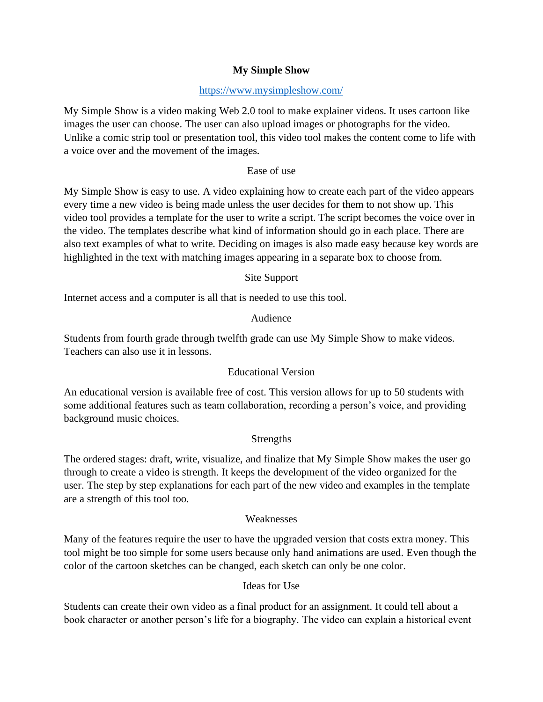# **My Simple Show**

## <https://www.mysimpleshow.com/>

My Simple Show is a video making Web 2.0 tool to make explainer videos. It uses cartoon like images the user can choose. The user can also upload images or photographs for the video. Unlike a comic strip tool or presentation tool, this video tool makes the content come to life with a voice over and the movement of the images.

## Ease of use

My Simple Show is easy to use. A video explaining how to create each part of the video appears every time a new video is being made unless the user decides for them to not show up. This video tool provides a template for the user to write a script. The script becomes the voice over in the video. The templates describe what kind of information should go in each place. There are also text examples of what to write. Deciding on images is also made easy because key words are highlighted in the text with matching images appearing in a separate box to choose from.

### Site Support

Internet access and a computer is all that is needed to use this tool.

### Audience

Students from fourth grade through twelfth grade can use My Simple Show to make videos. Teachers can also use it in lessons.

# Educational Version

An educational version is available free of cost. This version allows for up to 50 students with some additional features such as team collaboration, recording a person's voice, and providing background music choices.

# **Strengths**

The ordered stages: draft, write, visualize, and finalize that My Simple Show makes the user go through to create a video is strength. It keeps the development of the video organized for the user. The step by step explanations for each part of the new video and examples in the template are a strength of this tool too.

### Weaknesses

Many of the features require the user to have the upgraded version that costs extra money. This tool might be too simple for some users because only hand animations are used. Even though the color of the cartoon sketches can be changed, each sketch can only be one color.

### Ideas for Use

Students can create their own video as a final product for an assignment. It could tell about a book character or another person's life for a biography. The video can explain a historical event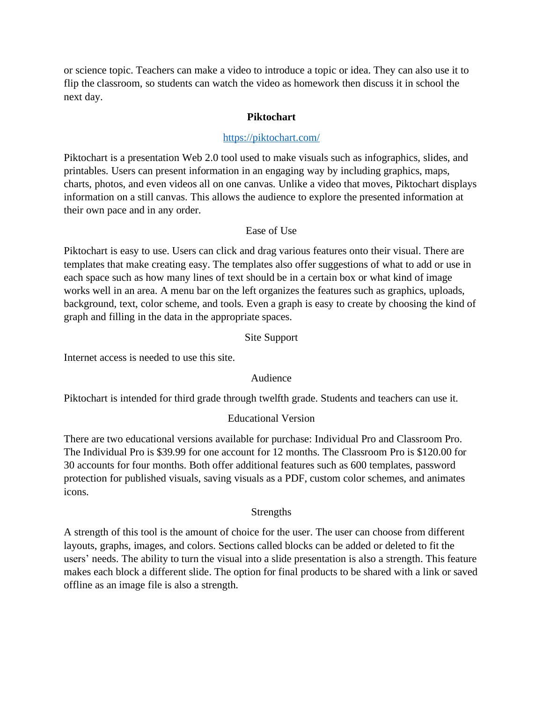or science topic. Teachers can make a video to introduce a topic or idea. They can also use it to flip the classroom, so students can watch the video as homework then discuss it in school the next day.

## **Piktochart**

### <https://piktochart.com/>

Piktochart is a presentation Web 2.0 tool used to make visuals such as infographics, slides, and printables. Users can present information in an engaging way by including graphics, maps, charts, photos, and even videos all on one canvas. Unlike a video that moves, Piktochart displays information on a still canvas. This allows the audience to explore the presented information at their own pace and in any order.

#### Ease of Use

Piktochart is easy to use. Users can click and drag various features onto their visual. There are templates that make creating easy. The templates also offer suggestions of what to add or use in each space such as how many lines of text should be in a certain box or what kind of image works well in an area. A menu bar on the left organizes the features such as graphics, uploads, background, text, color scheme, and tools. Even a graph is easy to create by choosing the kind of graph and filling in the data in the appropriate spaces.

#### Site Support

Internet access is needed to use this site.

### Audience

Piktochart is intended for third grade through twelfth grade. Students and teachers can use it.

### Educational Version

There are two educational versions available for purchase: Individual Pro and Classroom Pro. The Individual Pro is \$39.99 for one account for 12 months. The Classroom Pro is \$120.00 for 30 accounts for four months. Both offer additional features such as 600 templates, password protection for published visuals, saving visuals as a PDF, custom color schemes, and animates icons.

### **Strengths**

A strength of this tool is the amount of choice for the user. The user can choose from different layouts, graphs, images, and colors. Sections called blocks can be added or deleted to fit the users' needs. The ability to turn the visual into a slide presentation is also a strength. This feature makes each block a different slide. The option for final products to be shared with a link or saved offline as an image file is also a strength.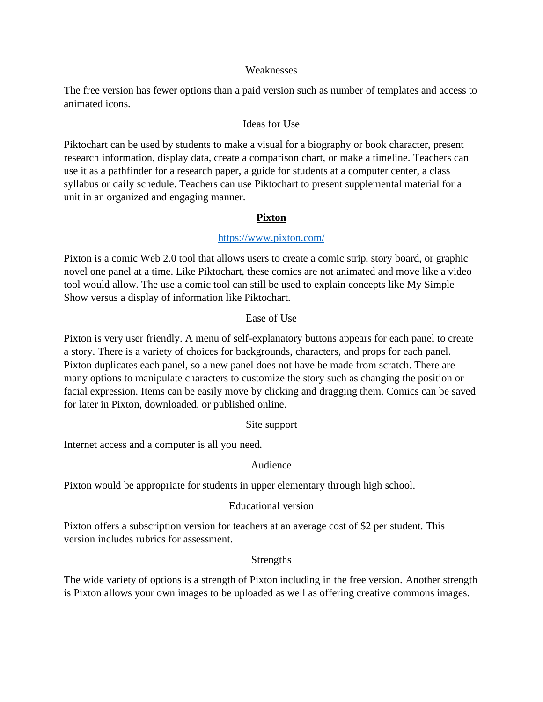#### Weaknesses

The free version has fewer options than a paid version such as number of templates and access to animated icons.

## Ideas for Use

Piktochart can be used by students to make a visual for a biography or book character, present research information, display data, create a comparison chart, or make a timeline. Teachers can use it as a pathfinder for a research paper, a guide for students at a computer center, a class syllabus or daily schedule. Teachers can use Piktochart to present supplemental material for a unit in an organized and engaging manner.

# **Pixton**

# <https://www.pixton.com/>

Pixton is a comic Web 2.0 tool that allows users to create a comic strip, story board, or graphic novel one panel at a time. Like Piktochart, these comics are not animated and move like a video tool would allow. The use a comic tool can still be used to explain concepts like My Simple Show versus a display of information like Piktochart.

### Ease of Use

Pixton is very user friendly. A menu of self-explanatory buttons appears for each panel to create a story. There is a variety of choices for backgrounds, characters, and props for each panel. Pixton duplicates each panel, so a new panel does not have be made from scratch. There are many options to manipulate characters to customize the story such as changing the position or facial expression. Items can be easily move by clicking and dragging them. Comics can be saved for later in Pixton, downloaded, or published online.

### Site support

Internet access and a computer is all you need.

# Audience

Pixton would be appropriate for students in upper elementary through high school.

# Educational version

Pixton offers a subscription version for teachers at an average cost of \$2 per student. This version includes rubrics for assessment.

### Strengths

The wide variety of options is a strength of Pixton including in the free version. Another strength is Pixton allows your own images to be uploaded as well as offering creative commons images.